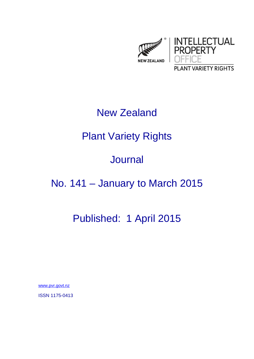

## New Zealand

# Plant Variety Rights

### Journal

## No. 141 – January to March 2015

# Published: 1 April 2015

www.pvr.govt.nz

ISSN 1175-0413